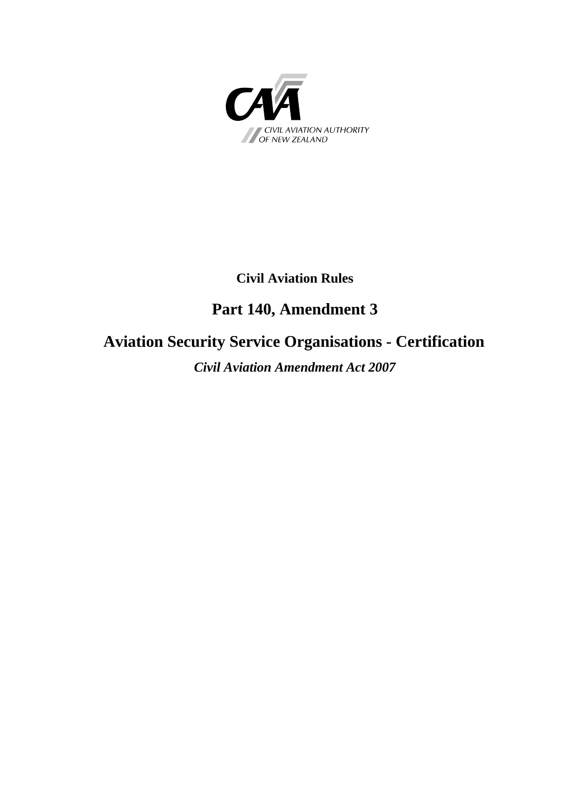

#### **Civil Aviation Rules**

## **Part 140, Amendment 3**

# **Aviation Security Service Organisations - Certification**

*Civil Aviation Amendment Act 2007*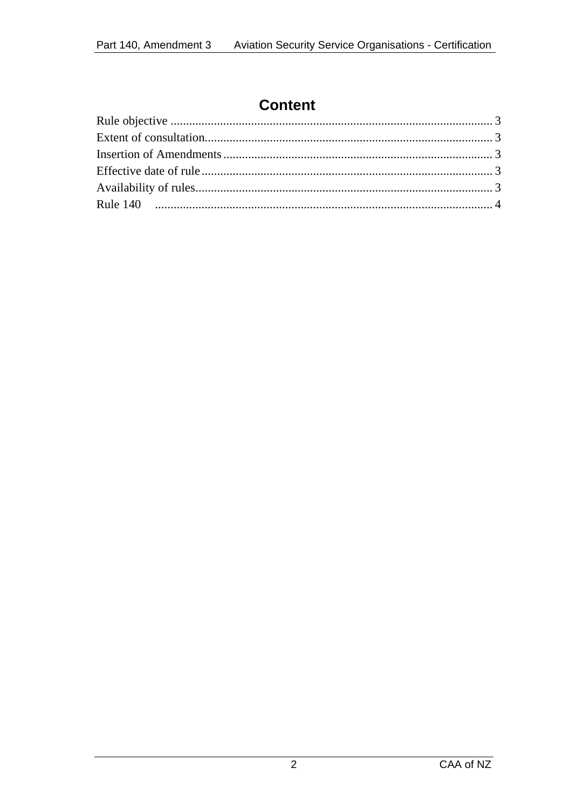# **Content**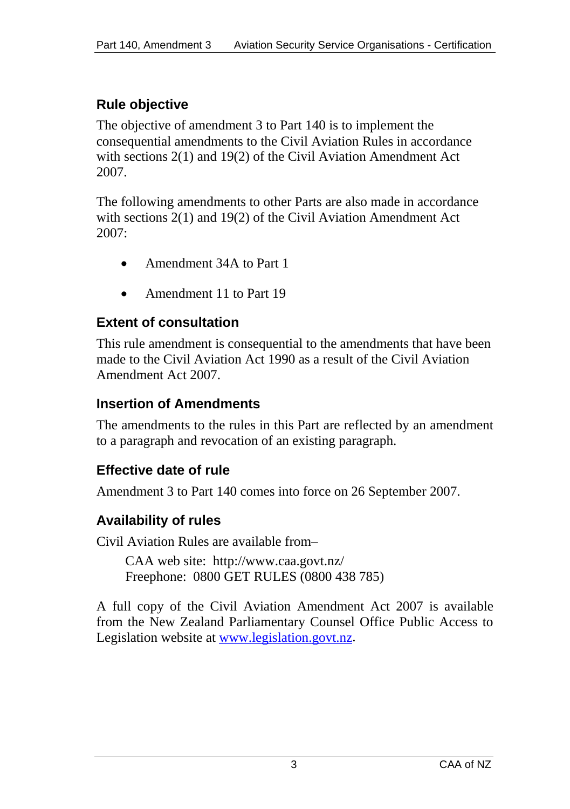# <span id="page-2-0"></span>**Rule objective**

The objective of amendment 3 to Part 140 is to implement the consequential amendments to the Civil Aviation Rules in accordance with sections 2(1) and 19(2) of the Civil Aviation Amendment Act 2007.

The following amendments to other Parts are also made in accordance with sections 2(1) and 19(2) of the Civil Aviation Amendment Act 2007:

- Amendment 34A to Part 1
- Amendment 11 to Part 19

#### **Extent of consultation**

This rule amendment is consequential to the amendments that have been made to the Civil Aviation Act 1990 as a result of the Civil Aviation Amendment Act 2007.

#### **Insertion of Amendments**

The amendments to the rules in this Part are reflected by an amendment to a paragraph and revocation of an existing paragraph.

## **Effective date of rule**

Amendment 3 to Part 140 comes into force on 26 September 2007.

## **Availability of rules**

Civil Aviation Rules are available from–

CAA web site: <http://www.caa.govt.nz/> Freephone: 0800 GET RULES (0800 438 785)

A full copy of the Civil Aviation Amendment Act 2007 is available from the New Zealand Parliamentary Counsel Office Public Access to Legislation website at [www.legislation.govt.nz](http://www.legislation.govt.nz/).